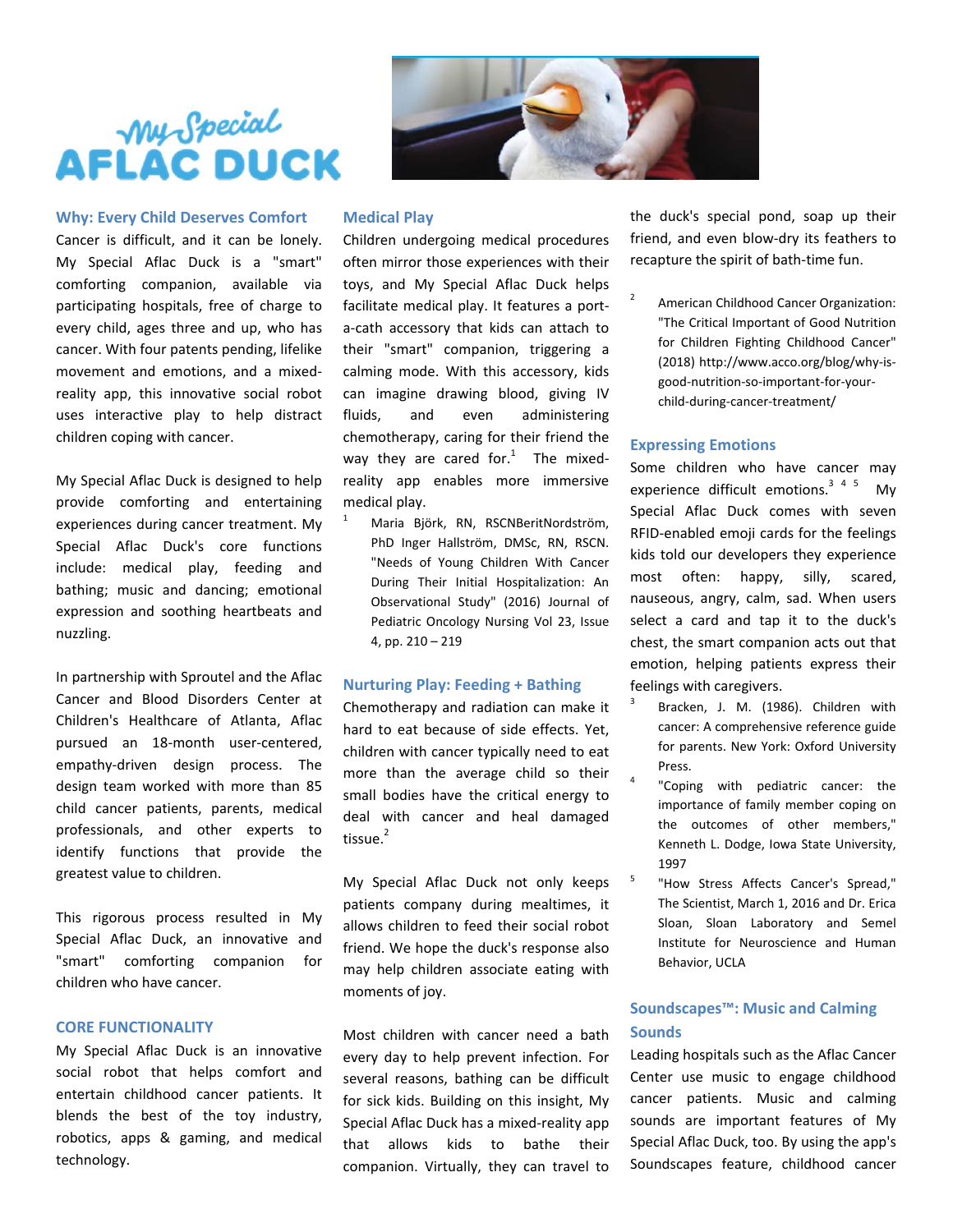## **Why: Every Child Deserves Comfort**

Cancer is difficult, and it can be lonely. My Special Aflac Duck is a "smart" comforting companion, available via participating hospitals, free of charge to every child, ages three and up, who has cancer. With four patents pending, lifelike movement and emotions, and a mixed‐ reality app, this innovative social robot uses interactive play to help distract children coping with cancer.

My Special Aflac Duck is designed to help provide comforting and entertaining experiences during cancer treatment. My Special Aflac Duck's core functions include: medical play, feeding and bathing; music and dancing; emotional expression and soothing heartbeats and nuzzling.

In partnership with Sproutel and the Aflac Cancer and Blood Disorders Center at Children's Healthcare of Atlanta, Aflac pursued an 18‐month user‐centered, empathy‐driven design process. The design team worked with more than 85 child cancer patients, parents, medical professionals, and other experts to identify functions that provide the greatest value to children.

This rigorous process resulted in My Special Aflac Duck, an innovative and "smart" comforting companion for children who have cancer.

## **CORE FUNCTIONALITY**

My Special Aflac Duck is an innovative social robot that helps comfort and entertain childhood cancer patients. It blends the best of the toy industry, robotics, apps & gaming, and medical technology.



#### **Medical Play**

Children undergoing medical procedures often mirror those experiences with their toys, and My Special Aflac Duck helps facilitate medical play. It features a port‐ a‐cath accessory that kids can attach to their "smart" companion, triggering a calming mode. With this accessory, kids can imagine drawing blood, giving IV fluids, and even administering chemotherapy, caring for their friend the way they are cared for. $1$  The mixedreality app enables more immersive medical play.

1 Maria Björk, RN, RSCNBeritNordström, PhD Inger Hallström, DMSc, RN, RSCN. "Needs of Young Children With Cancer During Their Initial Hospitalization: An Observational Study" (2016) Journal of Pediatric Oncology Nursing Vol 23, Issue 4, pp. 210 – 219

## **Nurturing Play: Feeding + Bathing**

Chemotherapy and radiation can make it hard to eat because of side effects. Yet, children with cancer typically need to eat more than the average child so their small bodies have the critical energy to deal with cancer and heal damaged tissue.<sup>2</sup>

My Special Aflac Duck not only keeps patients company during mealtimes, it allows children to feed their social robot friend. We hope the duck's response also may help children associate eating with moments of joy.

Most children with cancer need a bath every day to help prevent infection. For several reasons, bathing can be difficult for sick kids. Building on this insight, My Special Aflac Duck has a mixed‐reality app that allows kids to bathe their companion. Virtually, they can travel to the duck's special pond, soap up their friend, and even blow‐dry its feathers to recapture the spirit of bath‐time fun.

American Childhood Cancer Organization: "The Critical Important of Good Nutrition for Children Fighting Childhood Cancer" (2018) http://www.acco.org/blog/why‐is‐ good‐nutrition‐so‐important‐for‐your‐ child‐during‐cancer‐treatment/

## **Expressing Emotions**

Some children who have cancer may experience difficult emotions. $345$  My Special Aflac Duck comes with seven RFID‐enabled emoji cards for the feelings kids told our developers they experience most often: happy, silly, scared, nauseous, angry, calm, sad. When users select a card and tap it to the duck's chest, the smart companion acts out that emotion, helping patients express their feelings with caregivers.

- Bracken, J. M. (1986). Children with cancer: A comprehensive reference guide for parents. New York: Oxford University Press.
- <sup>4</sup> "Coping with pediatric cancer: the importance of family member coping on the outcomes of other members," Kenneth L. Dodge, Iowa State University, 1997
- "How Stress Affects Cancer's Spread," The Scientist, March 1, 2016 and Dr. Erica Sloan, Sloan Laboratory and Semel Institute for Neuroscience and Human Behavior, UCLA

# **Soundscapes™: Music and Calming Sounds**

Leading hospitals such as the Aflac Cancer Center use music to engage childhood cancer patients. Music and calming sounds are important features of My Special Aflac Duck, too. By using the app's Soundscapes feature, childhood cancer